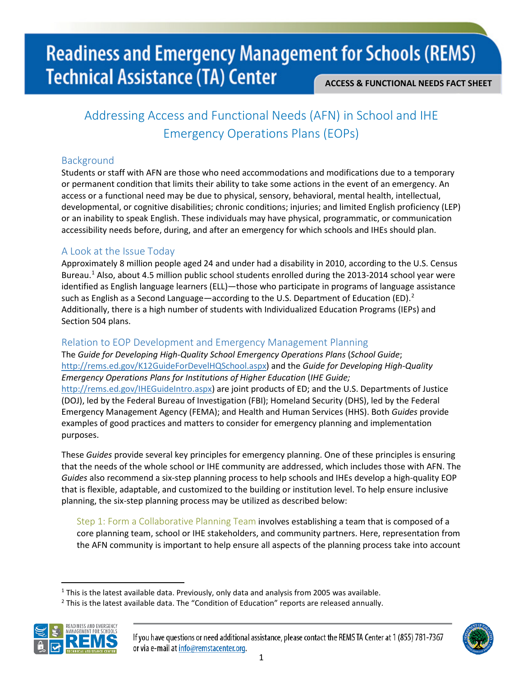## **Readiness and Emergency Management for Schools (REMS) Technical Assistance (TA) Center ACCESS & FUNCTIONAL NEEDS FACT SHEET**

## Addressing Access and Functional Needs (AFN) in School and IHE Emergency Operations Plans (EOPs)

#### Background

Students or staff with AFN are those who need accommodations and modifications due to a temporary or permanent condition that limits their ability to take some actions in the event of an emergency. An access or a functional need may be due to physical, sensory, behavioral, mental health, intellectual, developmental, or cognitive disabilities; chronic conditions; injuries; and limited English proficiency (LEP) or an inability to speak English. These individuals may have physical, programmatic, or communication accessibility needs before, during, and after an emergency for which schools and IHEs should plan.

#### A Look at the Issue Today

Approximately 8 million people aged 24 and under had a disability in 2010, according to the U.S. Census Bureau.<sup>[1](#page-0-0)</sup> Also, about 4.5 million public school students enrolled during the 2013-2014 school year were identified as English language learners (ELL)—those who participate in programs of language assistance such as English as a Second Language—according to the U.S. Department of Education (ED).<sup>[2](#page-0-1)</sup> Additionally, there is a high number of students with Individualized Education Programs (IEPs) and Section 504 plans.

### Relation to EOP Development and Emergency Management Planning

The *Guide for Developing High-Quality School Emergency Operations Plans* (*School Guide*; [http://rems.ed.gov/K12GuideForDevelHQSchool.aspx\)](http://rems.ed.gov/K12GuideForDevelHQSchool.aspx) and the *Guide for Developing High-Quality Emergency Operations Plans for Institutions of Higher Education* (*IHE Guide;* 

[http://rems.ed.gov/IHEGuideIntro.aspx\)](http://rems.ed.gov/IHEGuideIntro.aspx) are joint products of ED; and the U.S. Departments of Justice (DOJ), led by the Federal Bureau of Investigation (FBI); Homeland Security (DHS), led by the Federal Emergency Management Agency (FEMA); and Health and Human Services (HHS). Both *Guides* provide examples of good practices and matters to consider for emergency planning and implementation purposes.

These *Guides* provide several key principles for emergency planning. One of these principles is ensuring that the needs of the whole school or IHE community are addressed, which includes those with AFN. The *Guides* also recommend a six-step planning process to help schools and IHEs develop a high-quality EOP that is flexible, adaptable, and customized to the building or institution level. To help ensure inclusive planning, the six-step planning process may be utilized as described below:

Step 1: Form a Collaborative Planning Team involves establishing a team that is composed of a core planning team, school or IHE stakeholders, and community partners. Here, representation from the AFN community is important to help ensure all aspects of the planning process take into account

<span id="page-0-1"></span><span id="page-0-0"></span> $<sup>2</sup>$  This is the latest available data. The "Condition of Education" reports are released annually.</sup>





 $1$  This is the latest available data. Previously, only data and analysis from 2005 was available.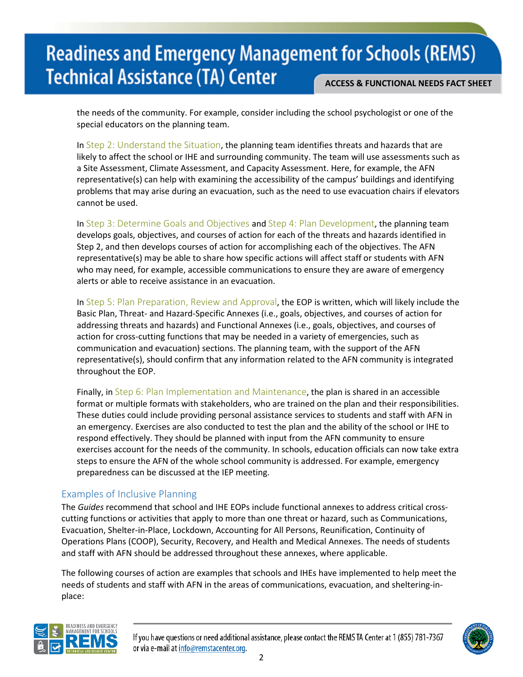## **Readiness and Emergency Management for Schools (REMS) Technical Assistance (TA) Center ACCESS & FUNCTIONAL NEEDS FACT SHEET**

the needs of the community. For example, consider including the school psychologist or one of the special educators on the planning team.

In Step 2: Understand the Situation, the planning team identifies threats and hazards that are likely to affect the school or IHE and surrounding community. The team will use assessments such as a Site Assessment, Climate Assessment, and Capacity Assessment. Here, for example, the AFN representative(s) can help with examining the accessibility of the campus' buildings and identifying problems that may arise during an evacuation, such as the need to use evacuation chairs if elevators cannot be used.

In Step 3: Determine Goals and Objectives and Step 4: Plan Development, the planning team develops goals, objectives, and courses of action for each of the threats and hazards identified in Step 2, and then develops courses of action for accomplishing each of the objectives. The AFN representative(s) may be able to share how specific actions will affect staff or students with AFN who may need, for example, accessible communications to ensure they are aware of emergency alerts or able to receive assistance in an evacuation.

In Step 5: Plan Preparation, Review and Approval, the EOP is written, which will likely include the Basic Plan, Threat- and Hazard-Specific Annexes (i.e., goals, objectives, and courses of action for addressing threats and hazards) and Functional Annexes (i.e., goals, objectives, and courses of action for cross-cutting functions that may be needed in a variety of emergencies, such as communication and evacuation) sections. The planning team, with the support of the AFN representative(s), should confirm that any information related to the AFN community is integrated throughout the EOP.

Finally, in Step 6: Plan Implementation and Maintenance, the plan is shared in an accessible format or multiple formats with stakeholders, who are trained on the plan and their responsibilities. These duties could include providing personal assistance services to students and staff with AFN in an emergency. Exercises are also conducted to test the plan and the ability of the school or IHE to respond effectively. They should be planned with input from the AFN community to ensure exercises account for the needs of the community. In schools, education officials can now take extra steps to ensure the AFN of the whole school community is addressed. For example, emergency preparedness can be discussed at the IEP meeting.

#### Examples of Inclusive Planning

The *Guides* recommend that school and IHE EOPs include functional annexes to address critical crosscutting functions or activities that apply to more than one threat or hazard, such as Communications, Evacuation, Shelter-in-Place, Lockdown, Accounting for All Persons, Reunification, Continuity of Operations Plans (COOP), Security, Recovery, and Health and Medical Annexes. The needs of students and staff with AFN should be addressed throughout these annexes, where applicable.

The following courses of action are examples that schools and IHEs have implemented to help meet the needs of students and staff with AFN in the areas of communications, evacuation, and sheltering-inplace:



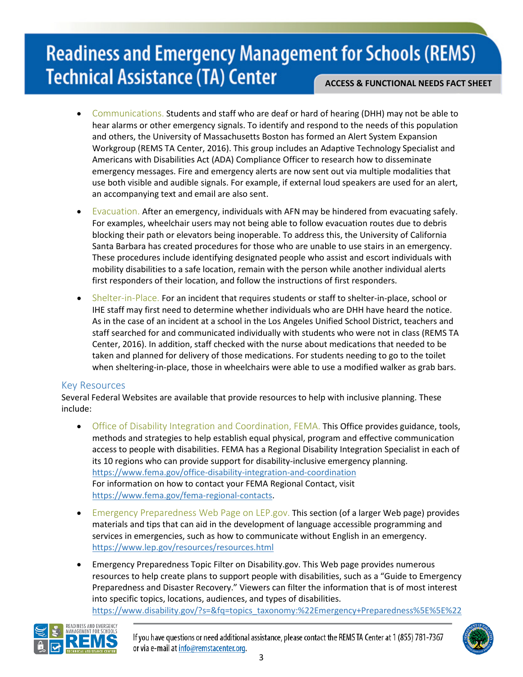# **Readiness and Emergency Management for Schools (REMS) Technical Assistance (TA) Center**

**ACCESS & FUNCTIONAL NEEDS FACT SHEET**

- Communications. Students and staff who are deaf or hard of hearing (DHH) may not be able to hear alarms or other emergency signals. To identify and respond to the needs of this population and others, the University of Massachusetts Boston has formed an Alert System Expansion Workgroup (REMS TA Center, 2016). This group includes an Adaptive Technology Specialist and Americans with Disabilities Act (ADA) Compliance Officer to research how to disseminate emergency messages. Fire and emergency alerts are now sent out via multiple modalities that use both visible and audible signals. For example, if external loud speakers are used for an alert, an accompanying text and email are also sent.
- Evacuation. After an emergency, individuals with AFN may be hindered from evacuating safely. For examples, wheelchair users may not being able to follow evacuation routes due to debris blocking their path or elevators being inoperable. To address this, the University of California Santa Barbara has created procedures for those who are unable to use stairs in an emergency. These procedures include identifying designated people who assist and escort individuals with mobility disabilities to a safe location, remain with the person while another individual alerts first responders of their location, and follow the instructions of first responders.
- Shelter-in-Place. For an incident that requires students or staff to shelter-in-place, school or IHE staff may first need to determine whether individuals who are DHH have heard the notice. As in the case of an incident at a school in the Los Angeles Unified School District, teachers and staff searched for and communicated individually with students who were not in class (REMS TA Center, 2016). In addition, staff checked with the nurse about medications that needed to be taken and planned for delivery of those medications. For students needing to go to the toilet when sheltering-in-place, those in wheelchairs were able to use a modified walker as grab bars.

#### Key Resources

Several Federal Websites are available that provide resources to help with inclusive planning. These include:

- Office of Disability Integration and Coordination, FEMA. This Office provides guidance, tools, methods and strategies to help establish equal physical, program and effective communication access to people with disabilities. FEMA has a Regional Disability Integration Specialist in each of its 10 regions who can provide support for disability-inclusive emergency planning. <https://www.fema.gov/office-disability-integration-and-coordination> For information on how to contact your FEMA Regional Contact, visit [https://www.fema.gov/fema-regional-contacts.](https://www.fema.gov/fema-regional-contacts)
- Emergency Preparedness Web Page on LEP.gov. This section (of a larger Web page) provides materials and tips that can aid in the development of language accessible programming and services in emergencies, such as how to communicate without English in an emergency. <https://www.lep.gov/resources/resources.html>
- Emergency Preparedness Topic Filter on Disability.gov. This Web page provides numerous resources to help create plans to support people with disabilities, such as a "Guide to Emergency Preparedness and Disaster Recovery." Viewers can filter the information that is of most interest into specific topics, locations, audiences, and types of disabilities. [https://www.disability.gov/?s=&fq=topics\\_taxonomy:%22Emergency+Preparedness%5E%5E%22](https://www.disability.gov/?s=&fq=topics_taxonomy:%22Emergency+Preparedness%5E%5E%22)



If you have questions or need additional assistance, please contact the REMS TA Center at 1 (855) 781-7367 or via e-mail at info@remstacenter.org.